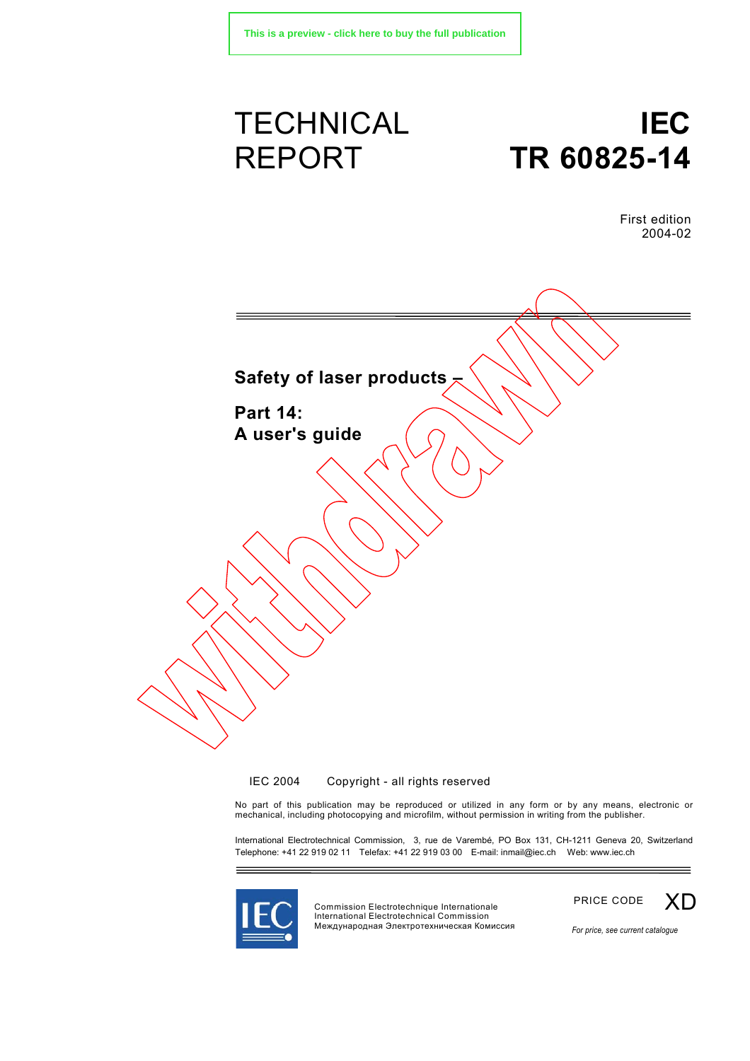# **TECHNICAL** REPORT

# **IEC TR 60825-14**

First edition 2004-02



 $\odot$  IEC 2004  $-$  Copyright - all rights reserved

No part of this publication may be reproduced or utilized in any form or by any means, electronic or mechanical, including photocopying and microfilm, without permission in writing from the publisher.

International Electrotechnical Commission, 3, rue de Varembé, PO Box 131, CH-1211 Geneva 20, Switzerland Telephone: +41 22 919 02 11 Telefax: +41 22 919 03 00 E-mail: inmail@iec.ch Web: www.iec.ch



Commission Electrotechnique Internationale International Electrotechnical Commission Международная Электротехническая Комиссия



*For price, see current catalogue*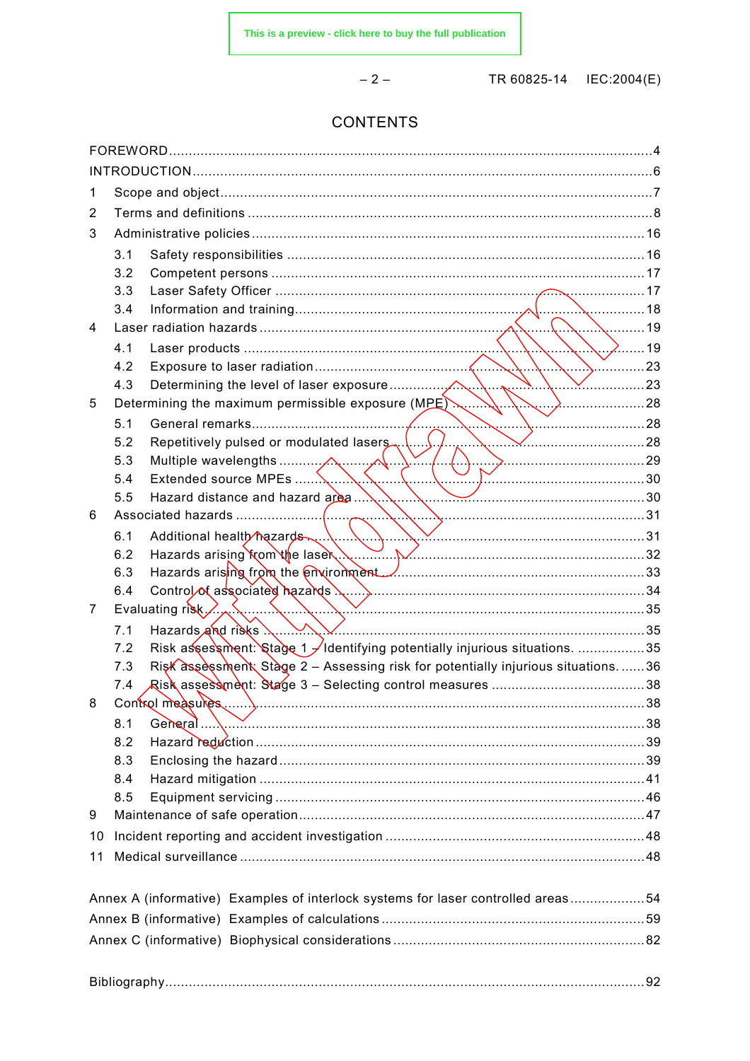$-2-$ 

TR 60825-14 © IEC:2004(E)

### **CONTENTS**

| 1                                                                                |      |                                                                                 |    |  |  |  |
|----------------------------------------------------------------------------------|------|---------------------------------------------------------------------------------|----|--|--|--|
| 2                                                                                |      |                                                                                 |    |  |  |  |
| 3                                                                                |      |                                                                                 |    |  |  |  |
|                                                                                  | 3.1  |                                                                                 |    |  |  |  |
|                                                                                  | 3.2  |                                                                                 |    |  |  |  |
|                                                                                  | 3.3  |                                                                                 |    |  |  |  |
|                                                                                  | 3.4  |                                                                                 |    |  |  |  |
| 4                                                                                | . 19 |                                                                                 |    |  |  |  |
|                                                                                  | 4.1  | $\setminus$ $\setminus$ 219                                                     |    |  |  |  |
|                                                                                  | 4.2  | $\ldots$ 23                                                                     |    |  |  |  |
|                                                                                  | 4.3  |                                                                                 | 23 |  |  |  |
| 5                                                                                |      | Determining the maximum permissible exposure (MPE)<br>$\mathbf{v}$              |    |  |  |  |
|                                                                                  | 5.1  |                                                                                 |    |  |  |  |
|                                                                                  | 5.2  | $\sim$ 28                                                                       |    |  |  |  |
|                                                                                  | 5.3  |                                                                                 |    |  |  |  |
|                                                                                  | 5.4  | Extended source MPEs                                                            |    |  |  |  |
|                                                                                  | 5.5  | 30                                                                              |    |  |  |  |
| 6                                                                                |      |                                                                                 |    |  |  |  |
|                                                                                  | 6.1  | $\sum$ 31<br>Additional health hazards                                          |    |  |  |  |
|                                                                                  | 6.2  |                                                                                 |    |  |  |  |
|                                                                                  | 6.3  |                                                                                 |    |  |  |  |
|                                                                                  | 6.4  |                                                                                 |    |  |  |  |
| 7                                                                                |      | Evaluating risk $\mathcal{L}_{\infty}$                                          |    |  |  |  |
|                                                                                  | 7.1  | Hazards and risks                                                               |    |  |  |  |
|                                                                                  | 7.2  | Risk assessment: Stage 1 / Identifying potentially injurious situations. 35     |    |  |  |  |
|                                                                                  | 7.3  | Risk assessment Stage 2 - Assessing risk for potentially injurious situations36 |    |  |  |  |
|                                                                                  | 7.4  | Risk assessment: Stage 3 – Selecting control measures …………………………………38           |    |  |  |  |
| 8                                                                                |      | Control measures                                                                | 38 |  |  |  |
|                                                                                  | 8.1  | General 2000 38                                                                 |    |  |  |  |
|                                                                                  | 8.2  |                                                                                 |    |  |  |  |
|                                                                                  | 8.3  |                                                                                 |    |  |  |  |
|                                                                                  | 8.4  |                                                                                 |    |  |  |  |
|                                                                                  | 8.5  |                                                                                 |    |  |  |  |
| 9                                                                                |      |                                                                                 |    |  |  |  |
| 10                                                                               |      |                                                                                 |    |  |  |  |
| 11                                                                               |      |                                                                                 |    |  |  |  |
|                                                                                  |      |                                                                                 |    |  |  |  |
| Annex A (informative) Examples of interlock systems for laser controlled areas54 |      |                                                                                 |    |  |  |  |
|                                                                                  |      |                                                                                 |    |  |  |  |
|                                                                                  |      |                                                                                 |    |  |  |  |
|                                                                                  |      |                                                                                 |    |  |  |  |
|                                                                                  |      |                                                                                 |    |  |  |  |
|                                                                                  |      |                                                                                 |    |  |  |  |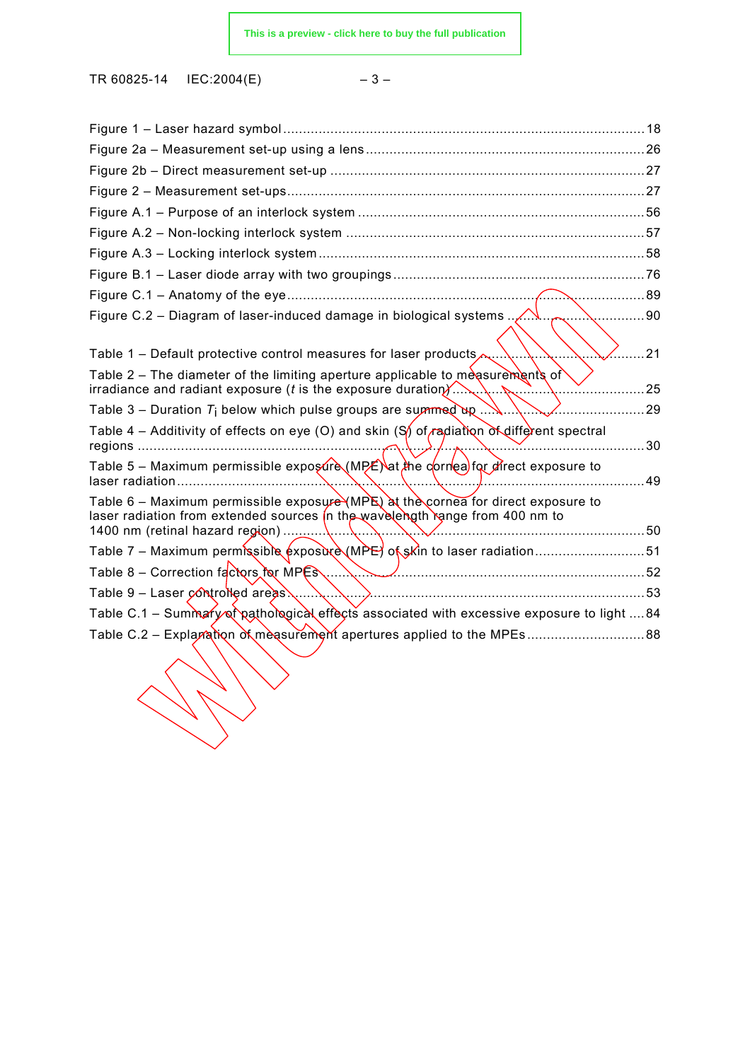TR 60825-14 © IEC:2004(E)

 $\lambda$ 

| ×<br>۰.<br>۰,<br>× |  |
|--------------------|--|
|--------------------|--|

| Figure C.2 – Diagram of laser-induced damage in biological systems $\sqrt{N}$ .<br>90                                                                             |      |  |  |  |  |
|-------------------------------------------------------------------------------------------------------------------------------------------------------------------|------|--|--|--|--|
| Table 1 – Default protective control measures for laser products,<br>Table 2 – The diameter of the limiting aperture applicable to measurements of                | . 21 |  |  |  |  |
|                                                                                                                                                                   | 25   |  |  |  |  |
| Table 3 – Duration $T_i$ below which pulse groups are summed by $\mathbb{R}$ .<br>. 29                                                                            |      |  |  |  |  |
| Table 4 – Additivity of effects on eye (O) and skin $(S)$ of radiation of different spectral                                                                      | 30   |  |  |  |  |
| Table 5 – Maximum permissible exposure (MPE) at the correa for direct exposure to<br>laser radiation                                                              | 49   |  |  |  |  |
| Table 6 – Maximum permissible exposure (MPE) at the cornea for direct exposure to<br>laser radiation from extended sources in the wavelength range from 400 nm to |      |  |  |  |  |
| Table 7 – Maximum permissible exposure (MPE) of skin to laser radiation51                                                                                         |      |  |  |  |  |
| Table 8 - Correction factors for MPES<br>52                                                                                                                       |      |  |  |  |  |
| Table $9$ – Laser controlled areas $\ldots$                                                                                                                       |      |  |  |  |  |
| Table C.1 - Summary of pathological effects associated with excessive exposure to light 84                                                                        |      |  |  |  |  |
|                                                                                                                                                                   |      |  |  |  |  |
|                                                                                                                                                                   |      |  |  |  |  |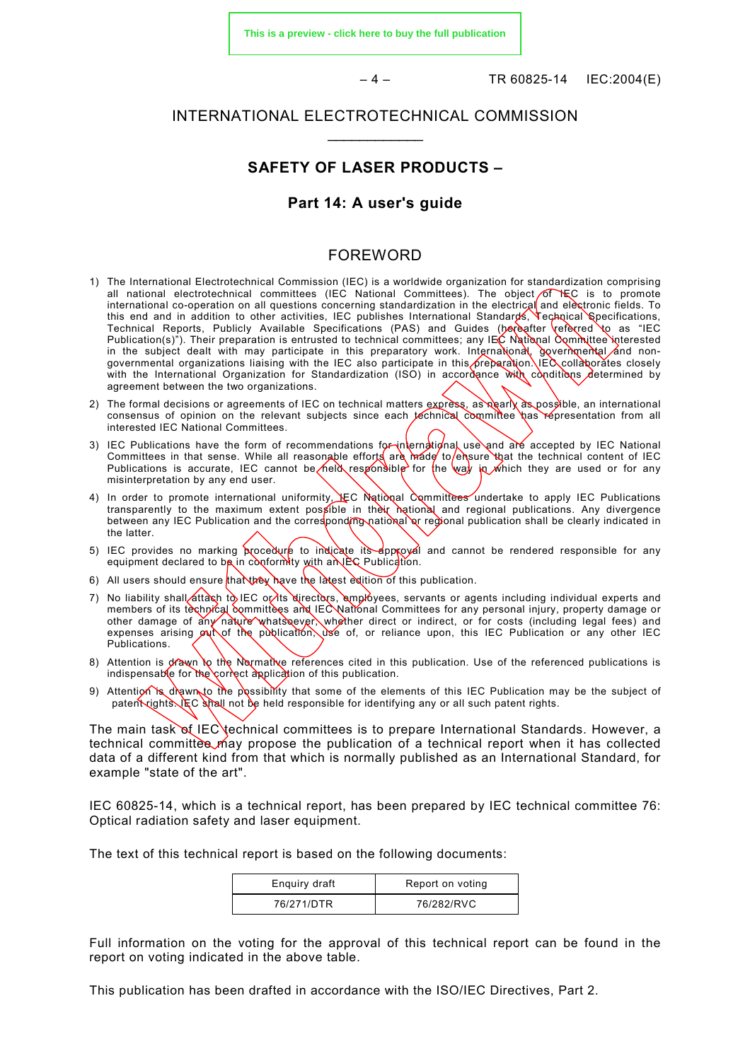**[This is a preview - click here to buy the full publication](https://webstore.iec.ch/publication/3590&preview)**

 $-4 -$  TR 60825-14 © IEC:2004(E)

#### INTERNATIONAL ELECTROTECHNICAL COMMISSION  $\frac{1}{2}$

#### **SAFETY OF LASER PRODUCTS –**

#### **Part 14: A user's guide**

#### FOREWORD

- 1) The International Electrotechnical Commission (IEC) is a worldwide organization for standardization comprising all national electrotechnical committees (IEC National Committees). The object of HEC is to promote international co-operation on all questions concerning standardization in the electrical and elèctronic fields. To this end and in addition to other activities, IEC publishes International Standards, Technical Specifications, Technical Reports, Publicly Available Specifications (PAS) and Guides (bereafter referred to as "IEC Publication(s)"). Their preparation is entrusted to technical committees; any IEC National Committee interested in the subject dealt with may participate in this preparatory work. International, governmental and nongovernmental organizations liaising with the IEC also participate in this ∕preparation.\IEC colladorătes closely with the International Organization for Standardization (ISO) in accordance with conditions determined by agreement between the two organizations.
- 2) The formal decisions or agreements of IEC on technical matters express, as nearly as possible, an international consensus of opinion on the relevant subjects since each *technical committee* has representation from all interested IEC National Committees.
- 3) IEC Publications have the form of recommendations for-international use and are accepted by IEC National Committees in that sense. While all reasonable efforts are made to ensure that the technical content of IEC Publications is accurate, IEC cannot be held responsible for the way in which they are used or for any misinterpretation by any end user.
- 4) In order to promote international uniformity, EC National Committees undertake to apply IEC Publications transparently to the maximum extent possible in their national and regional publications. Any divergence between any IEC Publication and the corresponding national or regional publication shall be clearly indicated in the latter.
- 5) IEC provides no marking procedure to indicate its approval and cannot be rendered responsible for any equipment declared to be in conformity with an IEC Publication.
- 6) All users should ensure that they have the latest edition of this publication.
- 7) No liability shall áttach to IEC or its directors, emplóyees, servants or agents including individual experts and members of its technical committees and IEC National Committees for any personal injury, property damage or other damage of any nature whats oever, whether direct or indirect, or for costs (including legal fees) and expenses arising  $\alpha$  of the publication, use of, or reliance upon, this IEC Publication or any other IEC Publications.
- 8) Attention is drawn to the Normative references cited in this publication. Use of the referenced publications is indispensable for the correct application of this publication.
- 9) Attention is drawn to the possibility that some of the elements of this IEC Publication may be the subject of patent rights. IEC shall not be held responsible for identifying any or all such patent rights.

The main task of IEC technical committees is to prepare International Standards. However, a technical committee may propose the publication of a technical report when it has collected data of a different kind from that which is normally published as an International Standard, for example "state of the art".

IEC 60825-14, which is a technical report, has been prepared by IEC technical committee 76: Optical radiation safety and laser equipment.

The text of this technical report is based on the following documents:

| Enguiry draft | Report on voting |
|---------------|------------------|
| 76/271/DTR    | 76/282/RVC       |

Full information on the voting for the approval of this technical report can be found in the report on voting indicated in the above table.

This publication has been drafted in accordance with the ISO/IEC Directives, Part 2.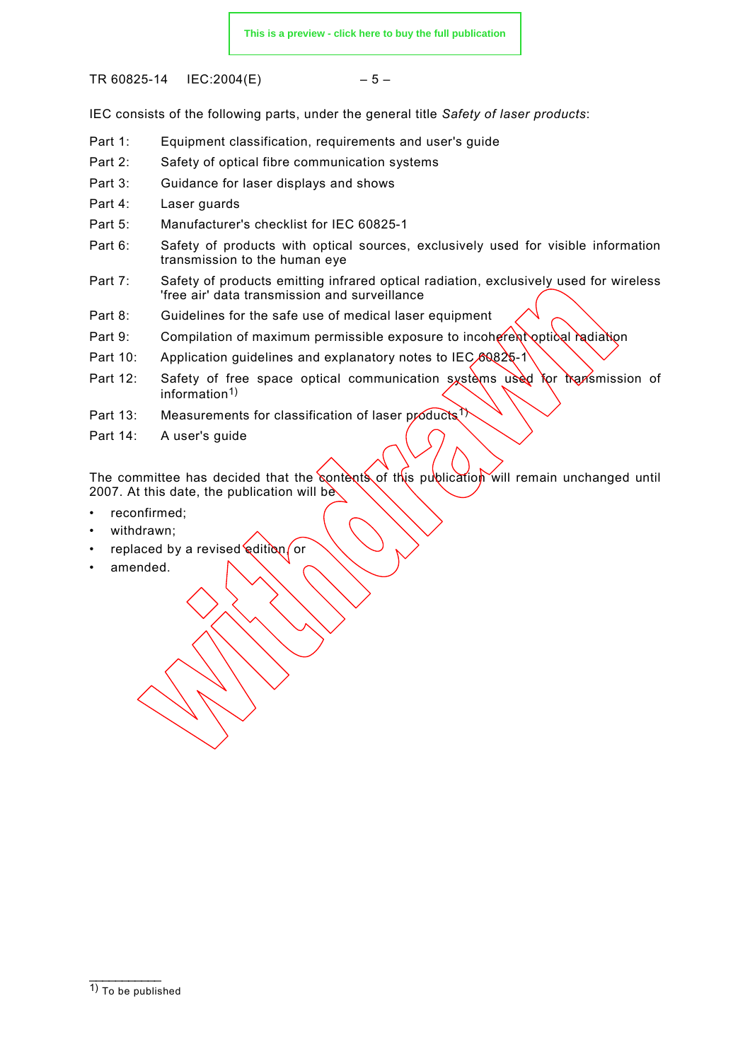TR 60825-14 © IEC:2004(E) – 5 –

IEC consists of the following parts, under the general title *Safety of laser products*:

- Part 1: Equipment classification, requirements and user's guide
- Part 2: Safety of optical fibre communication systems
- Part 3: Guidance for laser displays and shows
- Part 4: Laser guards
- Part 5: Manufacturer's checklist for IEC 60825-1
- Part 6: Safety of products with optical sources, exclusively used for visible information transmission to the human eye
- Part 7: Safety of products emitting infrared optical radiation, exclusively used for wireless 'free air' data transmission and surveillance
- Part 8: Guidelines for the safe use of medical laser equipment
- Part 9: Compilation of maximum permissible exposure to incoherent optical radiation
- Part 10: Application quidelines and explanatory notes to IEC 60825-1
- Part 12: Safety of free space optical communication systems used for transmission of information<sup>1)</sup>
- Part 13: Measurements for classification of laser products<sup>1)</sup>
- Part 14: A user's guide

The committee has decided that the contents of this publication will remain unchanged until 2007. At this date, the publication will be

- reconfirmed;
- withdrawn;
- replaced by a revised edition or
- amended.

 $\frac{1}{2}$  $\overline{1}$ ) To be published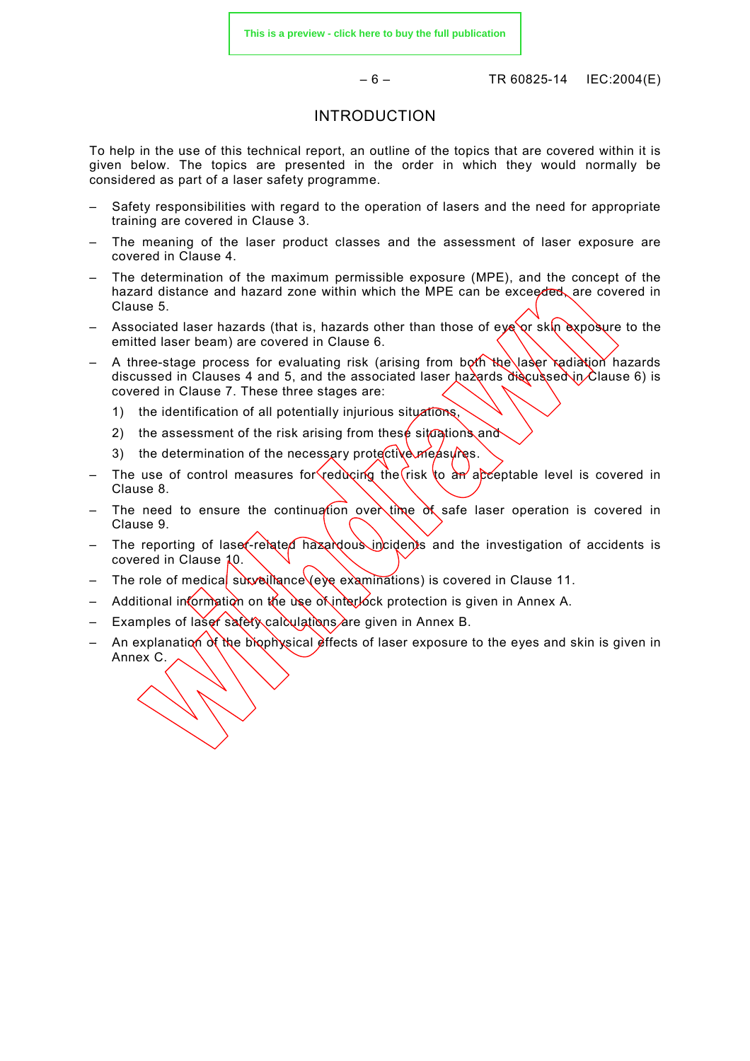$-6 -$  TR 60825-14 © IEC:2004(E)

#### INTRODUCTION

To help in the use of this technical report, an outline of the topics that are covered within it is given below. The topics are presented in the order in which they would normally be considered as part of a laser safety programme.

- Safety responsibilities with regard to the operation of lasers and the need for appropriate training are covered in Clause 3.
- The meaning of the laser product classes and the assessment of laser exposure are covered in Clause 4.
- The determination of the maximum permissible exposure (MPE), and the concept of the hazard distance and hazard zone within which the MPE can be exceeded, are covered in Clause 5.
- Associated laser hazards (that is, hazards other than those of eye or skin exposure to the emitted laser beam) are covered in Clause 6.
- A three-stage process for evaluating risk (arising from both the laser radiation hazards discussed in Clauses 4 and 5, and the associated laser hazards discussed in Clause 6) is covered in Clause 7. These three stages are:
	- 1) the identification of all potentially injurious situations,
	- 2) the assessment of the risk arising from these situations and
	- 3) the determination of the necessary protective measures.
- The use of control measures for reducing the risk to an acceptable level is covered in Clause 8.
- The need to ensure the continuation over time of safe laser operation is covered in Clause 9.
- The reporting of laser-related hazardous incidents and the investigation of accidents is covered in Clause 10.
- The role of medical surveillance (eye examinations) is covered in Clause 11.
- Additional information on the use of interlock protection is given in Annex A.
- Examples of laser safety calculations are given in Annex B.
- An explanation of the biophysical effects of laser exposure to the eyes and skin is given in Annex C.